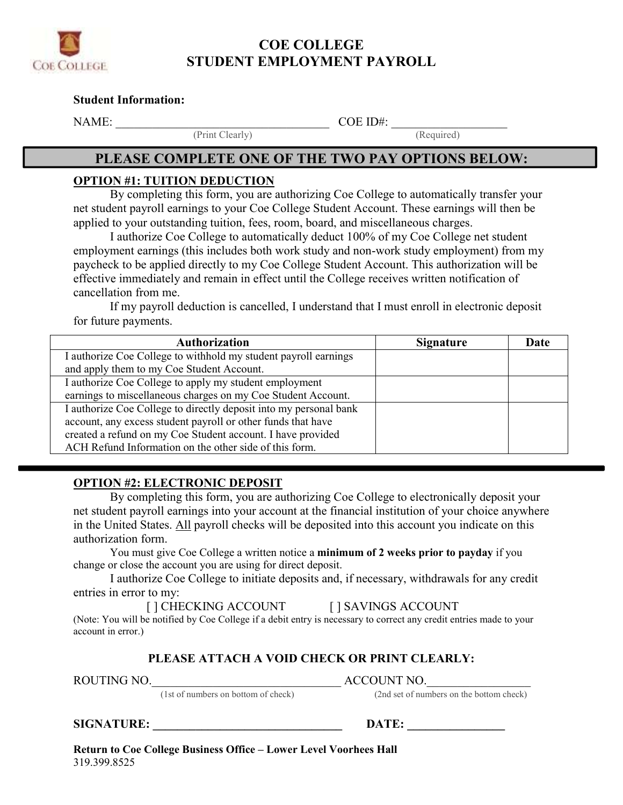

# **COE COLLEGE STUDENT EMPLOYMENT PAYROLL**

#### **Student Information:**

NAME: \_\_\_\_\_\_\_\_\_\_\_\_\_\_\_\_\_\_\_\_\_\_\_\_\_\_\_\_\_\_\_\_\_\_\_ COE ID#: \_\_\_\_\_\_\_\_\_\_\_\_\_\_\_\_\_\_\_

(Print Clearly) (Required)

## **PLEASE COMPLETE ONE OF THE TWO PAY OPTIONS BELOW:**

#### **OPTION #1: TUITION DEDUCTION**

 By completing this form, you are authorizing Coe College to automatically transfer your net student payroll earnings to your Coe College Student Account. These earnings will then be applied to your outstanding tuition, fees, room, board, and miscellaneous charges.

 I authorize Coe College to automatically deduct 100% of my Coe College net student employment earnings (this includes both work study and non-work study employment) from my paycheck to be applied directly to my Coe College Student Account. This authorization will be effective immediately and remain in effect until the College receives written notification of cancellation from me.

 If my payroll deduction is cancelled, I understand that I must enroll in electronic deposit for future payments.

| <b>Authorization</b>                                              | <b>Signature</b> | Date |
|-------------------------------------------------------------------|------------------|------|
| I authorize Coe College to withhold my student payroll earnings   |                  |      |
| and apply them to my Coe Student Account.                         |                  |      |
| I authorize Coe College to apply my student employment            |                  |      |
| earnings to miscellaneous charges on my Coe Student Account.      |                  |      |
| I authorize Coe College to directly deposit into my personal bank |                  |      |
| account, any excess student payroll or other funds that have      |                  |      |
| created a refund on my Coe Student account. I have provided       |                  |      |
| ACH Refund Information on the other side of this form.            |                  |      |

### **OPTION #2: ELECTRONIC DEPOSIT**

 By completing this form, you are authorizing Coe College to electronically deposit your net student payroll earnings into your account at the financial institution of your choice anywhere in the United States. All payroll checks will be deposited into this account you indicate on this authorization form.

  You must give Coe College a written notice a **minimum of 2 weeks prior to payday** if you change or close the account you are using for direct deposit.

 I authorize Coe College to initiate deposits and, if necessary, withdrawals for any credit entries in error to my:

[ ] CHECKING ACCOUNT [ ] SAVINGS ACCOUNT

 (Note: You will be notified by Coe College if a debit entry is necessary to correct any credit entries made to your account in error.)

#### **PLEASE ATTACH A VOID CHECK OR PRINT CLEARLY:**

(1st of numbers on bottom of check) (2nd set of numbers on the bottom check)

ROUTING NO.\_\_\_\_\_\_\_\_\_\_\_\_\_\_\_\_\_\_\_\_\_\_\_\_\_\_\_\_\_\_\_ ACCOUNT NO.\_\_\_\_\_\_\_\_\_\_\_\_\_\_\_\_\_

 **SIGNATURE: \_\_\_\_\_\_\_\_\_\_\_\_\_\_\_\_\_\_\_\_\_\_\_\_\_\_\_\_\_\_\_ DATE: \_\_\_\_\_\_\_\_\_\_\_\_\_\_\_\_**

 **Return to Coe College Business Office – Lower Level Voorhees Hall** 319.399.8525